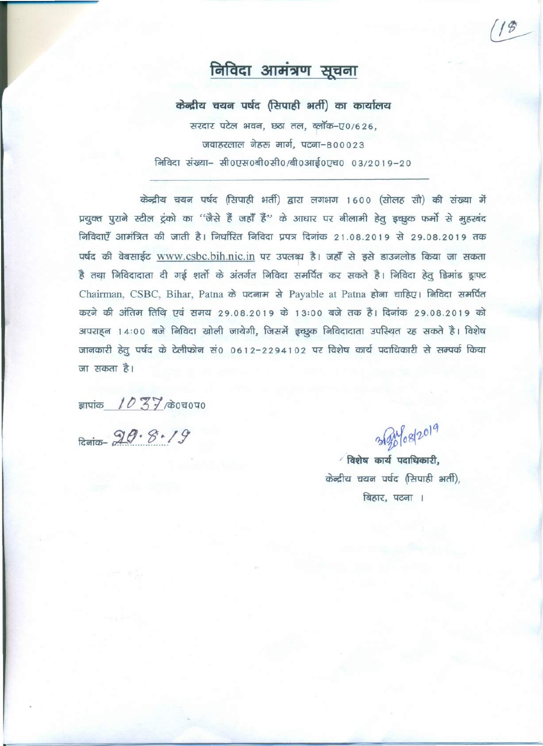## निविदा आमंत्रण सूचना

केन्द्रीय चयन पर्षद (सिपाही भर्ती) का कार्यालय

सरदार पटेल भवन, छठा तल, ब्लॉक-ए0/626,  $\overline{0}$ जवाहरलाल नेहरू मार्ग, पटना-800023 ~ msm- ~Ot!RO-aftO~O;afiO~O~O *03/2019-20*

केन्द्रीय चयन पर्षद (सिपाही भर्ती) द्वारा लगभग 1600 (सोलह सौ) की संख्या में प्रयुक्त पुराने स्टील ट्रंको का ''जैसे हैं जहाँ हैं'' के आधार पर नीलामी हेतु इच्छुक फर्मो से मुहरबंद निविदाएँ आमंत्रित की जाती है। निर्धारित निविदा प्रपत्र दिनांक 21.08.2019 से 29.08.2019 तक पर्षद की वेबसाईट www.csbc.bih.nic.in पर उपलब्ध है। जहाँ से इसे डाउनलोड किया जा सकता है तथा निविदादाता दी गई शर्तो के अंतर्गत निविदा समर्पित कर सकते है। निविदा हेतू डिमांड ड्राफ्ट Chairman, CSBC, Bihar, Patna के पदनाम से Payable at Patna होना चाहिए। निविदा समर्पित करने की अंतिम तिथि एवं समय 29.08.2019 के 13:00 बजे तक है। दिनांक 29.08.2019 को 3ापराहन 14:00 बजे निविदा खोली जायेगी, जिसमें इच्छुक निविदादाता उपस्थित रह सकते है। विशेष जानकारी हेतु पर्षद के टेलीफोन सं0 0612-2294102 पर विशेष कार्य पदाधिकारी से सम्पर्क किया जा सकता है।

ज्ञापांक 10  $37$  के0च0प0

*. \_ Q(J. 75,./-1* ~~ .

3/2019

/ विशेष कार्य पदाधिकारी, केन्द्रीय चयन पर्षद (सिपाही भर्ती), बिहार, पटना ।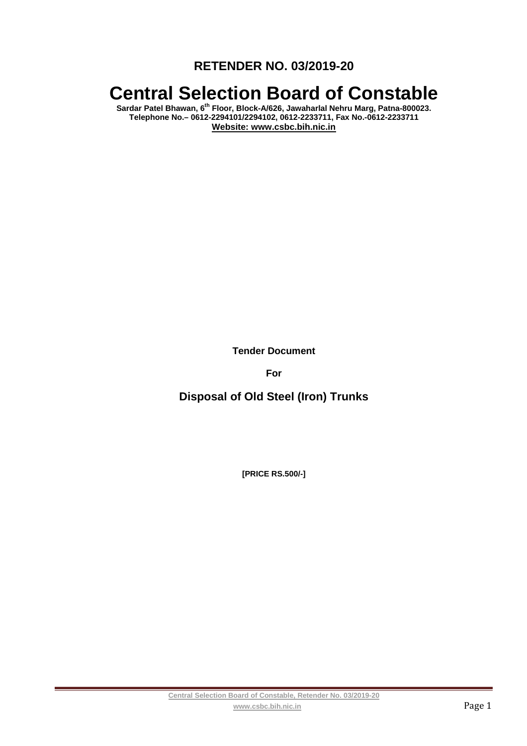**RETENDER NO. 03/2019-20** 

# **Central Selection Board of Constable**

**Sardar Patel Bhawan, 6th Floor, Block-A/626, Jawaharlal Nehru Marg, Patna-800023. Telephone No.– 0612-2294101/2294102, 0612-2233711, Fax No.-0612-2233711 Website: www.csbc.bih.nic.in** 

**Tender Document** 

**For** 

**Disposal of Old Steel (Iron) Trunks** 

**[PRICE RS.500/-]**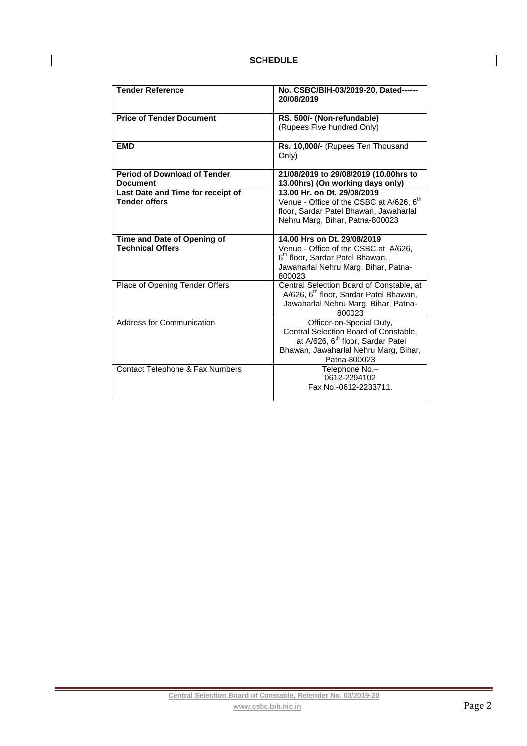| <b>Tender Reference</b>                                   | No. CSBC/BIH-03/2019-20, Dated------<br>20/08/2019                                                                                                                          |  |
|-----------------------------------------------------------|-----------------------------------------------------------------------------------------------------------------------------------------------------------------------------|--|
| <b>Price of Tender Document</b>                           | RS. 500/- (Non-refundable)<br>(Rupees Five hundred Only)                                                                                                                    |  |
| <b>EMD</b>                                                | Rs. 10,000/- (Rupees Ten Thousand<br>Only)                                                                                                                                  |  |
| <b>Period of Download of Tender</b><br><b>Document</b>    | 21/08/2019 to 29/08/2019 (10.00hrs to<br>13.00hrs) (On working days only)                                                                                                   |  |
| Last Date and Time for receipt of<br><b>Tender offers</b> | 13.00 Hr. on Dt. 29/08/2019<br>Venue - Office of the CSBC at A/626, 6 <sup>th</sup><br>floor, Sardar Patel Bhawan, Jawaharlal<br>Nehru Marg, Bihar, Patna-800023            |  |
| Time and Date of Opening of<br><b>Technical Offers</b>    | 14.00 Hrs on Dt. 29/08/2019<br>Venue - Office of the CSBC at A/626,<br>6 <sup>th</sup> floor, Sardar Patel Bhawan,<br>Jawaharlal Nehru Marg, Bihar, Patna-<br>800023        |  |
| Place of Opening Tender Offers                            | Central Selection Board of Constable, at<br>A/626, 6 <sup>th</sup> floor, Sardar Patel Bhawan,<br>Jawaharlal Nehru Marg, Bihar, Patna-<br>800023                            |  |
| Address for Communication                                 | Officer-on-Special Duty,<br>Central Selection Board of Constable,<br>at A/626, 6 <sup>th</sup> floor, Sardar Patel<br>Bhawan, Jawaharlal Nehru Marg, Bihar,<br>Patna-800023 |  |
| Contact Telephone & Fax Numbers                           | Telephone No.-<br>0612-2294102<br>Fax No.-0612-2233711.                                                                                                                     |  |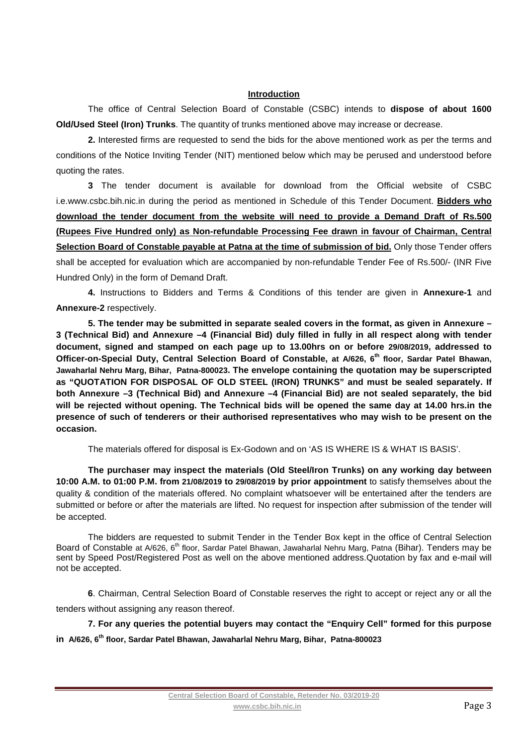#### **Introduction**

The office of Central Selection Board of Constable (CSBC) intends to **dispose of about 1600 Old/Used Steel (Iron) Trunks**. The quantity of trunks mentioned above may increase or decrease.

**2.** Interested firms are requested to send the bids for the above mentioned work as per the terms and conditions of the Notice Inviting Tender (NIT) mentioned below which may be perused and understood before quoting the rates.

**3** The tender document is available for download from the Official website of CSBC i.e.www.csbc.bih.nic.in during the period as mentioned in Schedule of this Tender Document. **Bidders who download the tender document from the website will need to provide a Demand Draft of Rs.500 (Rupees Five Hundred only) as Non-refundable Processing Fee drawn in favour of Chairman, Central**  Selection Board of Constable payable at Patna at the time of submission of bid. Only those Tender offers shall be accepted for evaluation which are accompanied by non-refundable Tender Fee of Rs.500/- (INR Five Hundred Only) in the form of Demand Draft.

**4.** Instructions to Bidders and Terms & Conditions of this tender are given in **Annexure-1** and **Annexure-2** respectively.

**5. The tender may be submitted in separate sealed covers in the format, as given in Annexure – 3 (Technical Bid) and Annexure –4 (Financial Bid) duly filled in fully in all respect along with tender document, signed and stamped on each page up to 13.00hrs on or before 29/08/2019, addressed to Officer-on-Special Duty, Central Selection Board of Constable, at A/626, 6th floor, Sardar Patel Bhawan, Jawaharlal Nehru Marg, Bihar, Patna-800023. The envelope containing the quotation may be superscripted as "QUOTATION FOR DISPOSAL OF OLD STEEL (IRON) TRUNKS" and must be sealed separately. If both Annexure –3 (Technical Bid) and Annexure –4 (Financial Bid) are not sealed separately, the bid will be rejected without opening. The Technical bids will be opened the same day at 14.00 hrs.in the presence of such of tenderers or their authorised representatives who may wish to be present on the occasion.** 

The materials offered for disposal is Ex-Godown and on 'AS IS WHERE IS & WHAT IS BASIS'.

**The purchaser may inspect the materials (Old Steel/Iron Trunks) on any working day between 10:00 A.M. to 01:00 P.M. from 21/08/2019 to 29/08/2019 by prior appointment** to satisfy themselves about the quality & condition of the materials offered. No complaint whatsoever will be entertained after the tenders are submitted or before or after the materials are lifted. No request for inspection after submission of the tender will be accepted.

The bidders are requested to submit Tender in the Tender Box kept in the office of Central Selection Board of Constable at A/626, 6<sup>th</sup> floor, Sardar Patel Bhawan, Jawaharlal Nehru Marg, Patna (Bihar). Tenders may be sent by Speed Post/Registered Post as well on the above mentioned address.Quotation by fax and e-mail will not be accepted.

**6**. Chairman, Central Selection Board of Constable reserves the right to accept or reject any or all the tenders without assigning any reason thereof.

**7. For any queries the potential buyers may contact the "Enquiry Cell" formed for this purpose in A/626, 6th floor, Sardar Patel Bhawan, Jawaharlal Nehru Marg, Bihar, Patna-800023**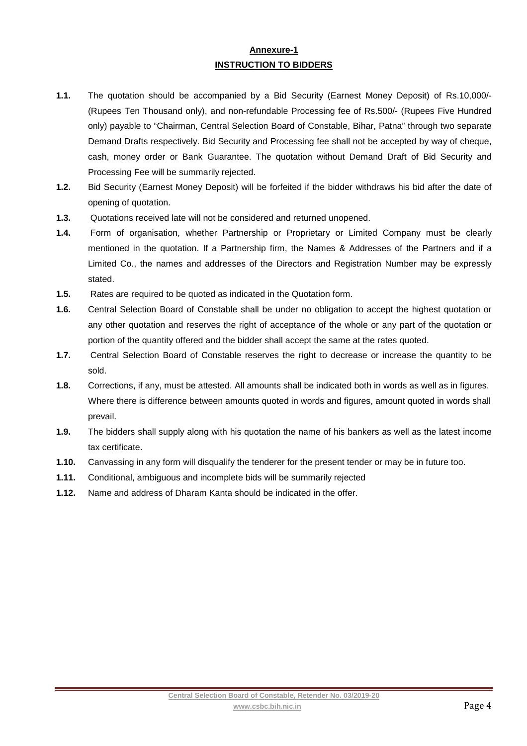## **Annexure-1 INSTRUCTION TO BIDDERS**

- **1.1.** The quotation should be accompanied by a Bid Security (Earnest Money Deposit) of Rs.10,000/- (Rupees Ten Thousand only), and non-refundable Processing fee of Rs.500/- (Rupees Five Hundred only) payable to "Chairman, Central Selection Board of Constable, Bihar, Patna" through two separate Demand Drafts respectively. Bid Security and Processing fee shall not be accepted by way of cheque, cash, money order or Bank Guarantee. The quotation without Demand Draft of Bid Security and Processing Fee will be summarily rejected.
- **1.2.** Bid Security (Earnest Money Deposit) will be forfeited if the bidder withdraws his bid after the date of opening of quotation.
- **1.3.** Quotations received late will not be considered and returned unopened.
- **1.4.** Form of organisation, whether Partnership or Proprietary or Limited Company must be clearly mentioned in the quotation. If a Partnership firm, the Names & Addresses of the Partners and if a Limited Co., the names and addresses of the Directors and Registration Number may be expressly stated.
- **1.5.** Rates are required to be quoted as indicated in the Quotation form.
- **1.6.** Central Selection Board of Constable shall be under no obligation to accept the highest quotation or any other quotation and reserves the right of acceptance of the whole or any part of the quotation or portion of the quantity offered and the bidder shall accept the same at the rates quoted.
- **1.7.** Central Selection Board of Constable reserves the right to decrease or increase the quantity to be sold.
- **1.8.** Corrections, if any, must be attested. All amounts shall be indicated both in words as well as in figures. Where there is difference between amounts quoted in words and figures, amount quoted in words shall prevail.
- **1.9.** The bidders shall supply along with his quotation the name of his bankers as well as the latest income tax certificate.
- **1.10.** Canvassing in any form will disqualify the tenderer for the present tender or may be in future too.
- **1.11.** Conditional, ambiguous and incomplete bids will be summarily rejected
- **1.12.** Name and address of Dharam Kanta should be indicated in the offer.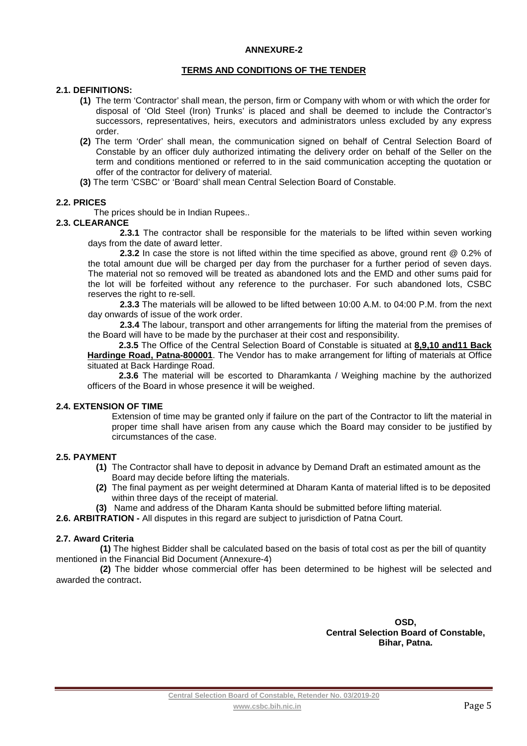#### **ANNEXURE-2**

#### **TERMS AND CONDITIONS OF THE TENDER**

#### **2.1. DEFINITIONS:**

- **(1)** The term 'Contractor' shall mean, the person, firm or Company with whom or with which the order for disposal of 'Old Steel (Iron) Trunks' is placed and shall be deemed to include the Contractor's successors, representatives, heirs, executors and administrators unless excluded by any express order.
- **(2)** The term 'Order' shall mean, the communication signed on behalf of Central Selection Board of Constable by an officer duly authorized intimating the delivery order on behalf of the Seller on the term and conditions mentioned or referred to in the said communication accepting the quotation or offer of the contractor for delivery of material.
- **(3)** The term 'CSBC' or 'Board' shall mean Central Selection Board of Constable.

#### **2.2. PRICES**

The prices should be in Indian Rupees..

#### **2.3. CLEARANCE**

**2.3.1** The contractor shall be responsible for the materials to be lifted within seven working days from the date of award letter.

 **2.3.2** In case the store is not lifted within the time specified as above, ground rent @ 0.2% of the total amount due will be charged per day from the purchaser for a further period of seven days. The material not so removed will be treated as abandoned lots and the EMD and other sums paid for the lot will be forfeited without any reference to the purchaser. For such abandoned lots, CSBC reserves the right to re-sell.

**2.3.3** The materials will be allowed to be lifted between 10:00 A.M. to 04:00 P.M. from the next day onwards of issue of the work order.

**2.3.4** The labour, transport and other arrangements for lifting the material from the premises of the Board will have to be made by the purchaser at their cost and responsibility.

**2.3.5** The Office of the Central Selection Board of Constable is situated at **8,9,10 and11 Back Hardinge Road, Patna-800001**. The Vendor has to make arrangement for lifting of materials at Office situated at Back Hardinge Road.

**2.3.6** The material will be escorted to Dharamkanta / Weighing machine by the authorized officers of the Board in whose presence it will be weighed.

#### **2.4. EXTENSION OF TIME**

Extension of time may be granted only if failure on the part of the Contractor to lift the material in proper time shall have arisen from any cause which the Board may consider to be justified by circumstances of the case.

#### **2.5. PAYMENT**

- **(1)** The Contractor shall have to deposit in advance by Demand Draft an estimated amount as the Board may decide before lifting the materials.
- **(2)** The final payment as per weight determined at Dharam Kanta of material lifted is to be deposited within three days of the receipt of material.
- **(3)** Name and address of the Dharam Kanta should be submitted before lifting material.
- **2.6. ARBITRATION** All disputes in this regard are subject to jurisdiction of Patna Court.

#### **2.7. Award Criteria**

**(1)** The highest Bidder shall be calculated based on the basis of total cost as per the bill of quantity mentioned in the Financial Bid Document (Annexure-4)

**(2)** The bidder whose commercial offer has been determined to be highest will be selected and awarded the contract.

> **OSD, Central Selection Board of Constable, Bihar, Patna.**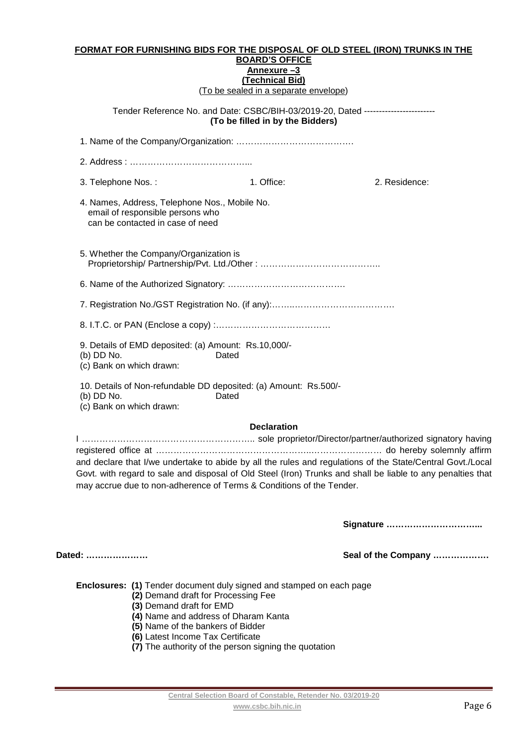#### **FORMAT FOR FURNISHING BIDS FOR THE DISPOSAL OF OLD STEEL (IRON) TRUNKS IN THE BOARD'S OFFICE Annexure –3 (Technical Bid)**  (To be sealed in a separate envelope)

Tender Reference No. and Date: CSBC/BIH-03/2019-20, Dated ------------------------ **(To be filled in by the Bidders)** 

1. Name of the Company/Organization: …………………………………. 2. Address : …………………………………... 3. Telephone Nos. : 1. Office: 2. Residence: 4. Names, Address, Telephone Nos., Mobile No. email of responsible persons who can be contacted in case of need 5. Whether the Company/Organization is Proprietorship/ Partnership/Pvt. Ltd./Other : ………………………………….. 6. Name of the Authorized Signatory: …………………………………. 7. Registration No./GST Registration No. (if any):……..……………………………. 8. I.T.C. or PAN (Enclose a copy) :………………………………… 9. Details of EMD deposited: (a) Amount: Rs.10,000/- (b) DD No. Dated (c) Bank on which drawn:

10. Details of Non-refundable DD deposited: (a) Amount: Rs.500/-

(b) DD No. Dated

(c) Bank on which drawn:

#### **Declaration**

I ………………………………………………….. sole proprietor/Director/partner/authorized signatory having registered office at ……………………………………………..…………………… do hereby solemnly affirm and declare that I/we undertake to abide by all the rules and regulations of the State/Central Govt./Local Govt. with regard to sale and disposal of Old Steel (Iron) Trunks and shall be liable to any penalties that may accrue due to non-adherence of Terms & Conditions of the Tender.

**Signature …………………………...** 

**Dated: ………………… Seal of the Company ……………….** 

**Enclosures: (1)** Tender document duly signed and stamped on each page

- **(2)** Demand draft for Processing Fee
- **(3)** Demand draft for EMD
- **(4)** Name and address of Dharam Kanta
- **(5)** Name of the bankers of Bidder
- **(6)** Latest Income Tax Certificate
- **(7)** The authority of the person signing the quotation